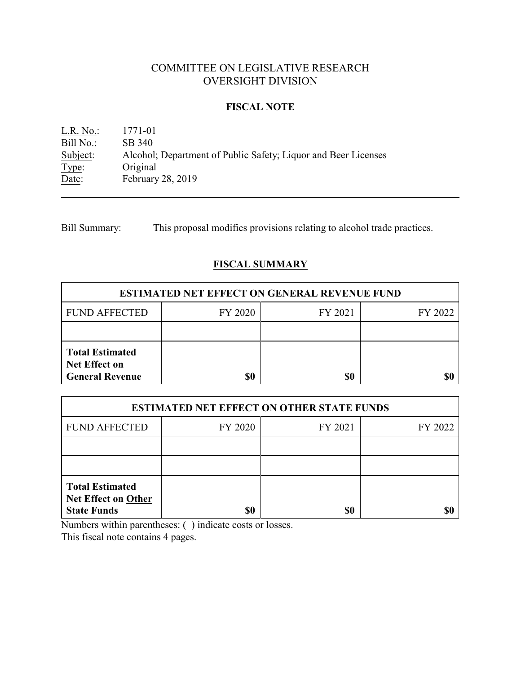# COMMITTEE ON LEGISLATIVE RESEARCH OVERSIGHT DIVISION

## **FISCAL NOTE**

L.R. No.: 1771-01 Bill No.: SB 340<br>Subject: Alcohol Alcohol; Department of Public Safety; Liquor and Beer Licenses Type: Original<br>Date: February February 28, 2019

Bill Summary: This proposal modifies provisions relating to alcohol trade practices.

## **FISCAL SUMMARY**

| <b>ESTIMATED NET EFFECT ON GENERAL REVENUE FUND</b>                      |         |         |         |  |
|--------------------------------------------------------------------------|---------|---------|---------|--|
| <b>FUND AFFECTED</b>                                                     | FY 2020 | FY 2021 | FY 2022 |  |
|                                                                          |         |         |         |  |
| <b>Total Estimated</b><br><b>Net Effect on</b><br><b>General Revenue</b> |         | \$0     |         |  |

| <b>ESTIMATED NET EFFECT ON OTHER STATE FUNDS</b>                           |         |         |         |  |
|----------------------------------------------------------------------------|---------|---------|---------|--|
| <b>FUND AFFECTED</b>                                                       | FY 2020 | FY 2021 | FY 2022 |  |
|                                                                            |         |         |         |  |
|                                                                            |         |         |         |  |
| <b>Total Estimated</b><br><b>Net Effect on Other</b><br><b>State Funds</b> | \$0     | \$0     |         |  |

Numbers within parentheses: ( ) indicate costs or losses.

This fiscal note contains 4 pages.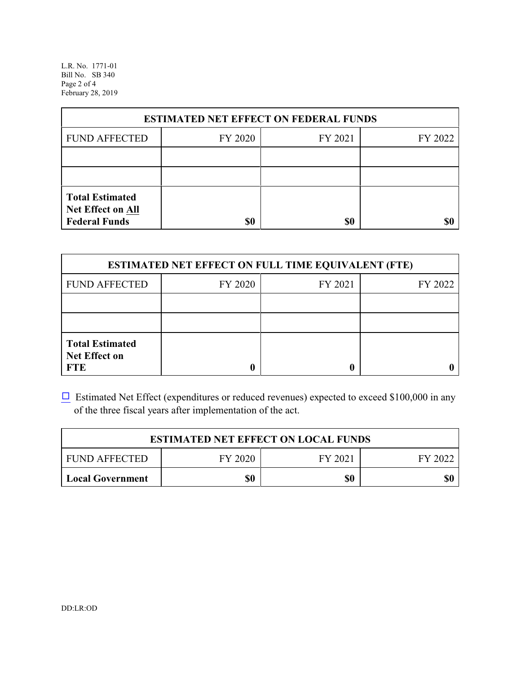L.R. No. 1771-01 Bill No. SB 340 Page 2 of 4 February 28, 2019

| <b>ESTIMATED NET EFFECT ON FEDERAL FUNDS</b>                        |         |         |         |  |
|---------------------------------------------------------------------|---------|---------|---------|--|
| <b>FUND AFFECTED</b>                                                | FY 2020 | FY 2021 | FY 2022 |  |
|                                                                     |         |         |         |  |
|                                                                     |         |         |         |  |
| <b>Total Estimated</b><br>Net Effect on All<br><b>Federal Funds</b> | \$0     | \$0     |         |  |

| <b>ESTIMATED NET EFFECT ON FULL TIME EQUIVALENT (FTE)</b>    |         |         |         |  |
|--------------------------------------------------------------|---------|---------|---------|--|
| <b>FUND AFFECTED</b>                                         | FY 2020 | FY 2021 | FY 2022 |  |
|                                                              |         |         |         |  |
|                                                              |         |         |         |  |
| <b>Total Estimated</b><br><b>Net Effect on</b><br><b>FTE</b> |         |         |         |  |

 $\Box$  Estimated Net Effect (expenditures or reduced revenues) expected to exceed \$100,000 in any of the three fiscal years after implementation of the act.

| <b>ESTIMATED NET EFFECT ON LOCAL FUNDS</b> |         |         |         |  |
|--------------------------------------------|---------|---------|---------|--|
| <b>FUND AFFECTED</b>                       | FY 2020 | FY 2021 | FY 2022 |  |
| <b>Local Government</b>                    | \$0     | \$0     | \$0     |  |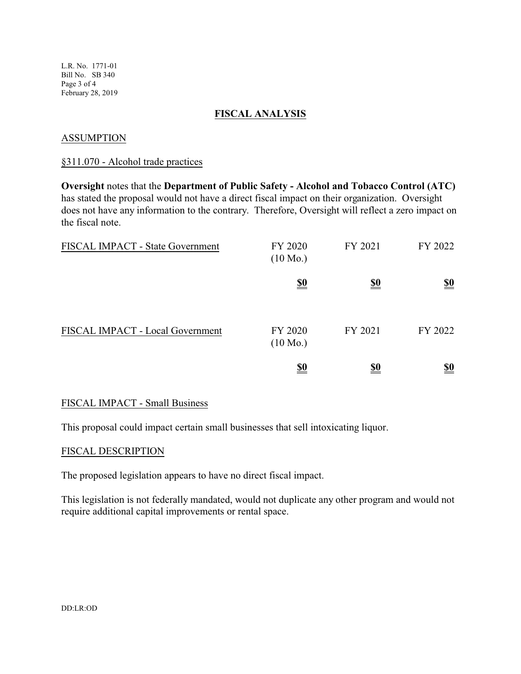L.R. No. 1771-01 Bill No. SB 340 Page 3 of 4 February 28, 2019

## **FISCAL ANALYSIS**

## **ASSUMPTION**

#### §311.070 - Alcohol trade practices

**Oversight** notes that the **Department of Public Safety - Alcohol and Tobacco Control (ATC)** has stated the proposal would not have a direct fiscal impact on their organization. Oversight does not have any information to the contrary. Therefore, Oversight will reflect a zero impact on the fiscal note.

| FISCAL IMPACT - State Government | FY 2020<br>$(10 \text{ Mo.})$ | FY 2021    | FY 2022                       |
|----------------------------------|-------------------------------|------------|-------------------------------|
|                                  | <u>\$0</u>                    | <u>\$0</u> | $\underline{\underline{\$0}}$ |
| FISCAL IMPACT - Local Government | FY 2020<br>$(10 \text{ Mo.})$ | FY 2021    | FY 2022                       |
|                                  | <u>\$0</u>                    | <u>\$0</u> | <u>\$0</u>                    |

#### FISCAL IMPACT - Small Business

This proposal could impact certain small businesses that sell intoxicating liquor.

#### FISCAL DESCRIPTION

The proposed legislation appears to have no direct fiscal impact.

This legislation is not federally mandated, would not duplicate any other program and would not require additional capital improvements or rental space.